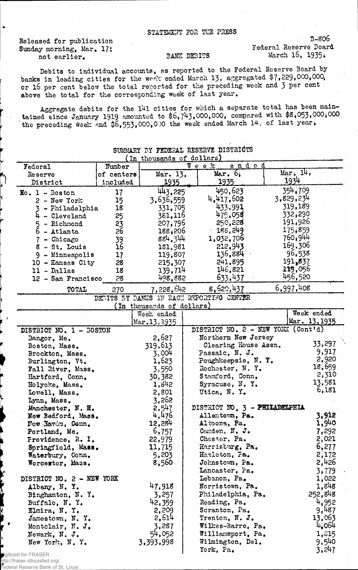Released for publication Sunday morning, Mar. 17; not earlier.

 $\bullet$ 

## BANK DEBITS

3-806 Federal Reserve Board March  $15, 1935$ .

Debits to individual accounts, as reported to the Federal Reserve Board by banks in leading cities for the week ended March 13, aggregated \$7,229,000,000, or 16 per cent below the total reported for the preceding week and 3 per cent above the total for the corresponding week of last year.

Aggregate debits for the 141 cities for which a separate total has been maintained since January 1919 amounted to  $$6,743,000,000$ , compared with  $$8,053,000,000$ the preceding week and  $$6,553,000,000$  the week ended March 14, of last year.

| In thousands of dollars)  |            |                           |  |                                          |           |                  |  |  |
|---------------------------|------------|---------------------------|--|------------------------------------------|-----------|------------------|--|--|
| Federal                   | Number     |                           |  | <u>ended</u><br>Week                     |           |                  |  |  |
| <b>Reserve</b>            | of centers | Mar. 13.                  |  | $Mar - 6$                                |           | $Mar \cdot 14$ , |  |  |
| District                  | included   | 1935                      |  | <u> 1935 </u>                            | 1934      |                  |  |  |
| $No. 1 - Boston$          | 17         | 443,225                   |  | 450,623                                  |           | 354.709          |  |  |
| $2 - New York$            | 15         | 3,636,559                 |  | 4,417,602                                | 3,829,234 |                  |  |  |
| 3 - Philadelphia          | 18         | 331,705                   |  | 433,991                                  |           | 319,189          |  |  |
| $4 -$ Cleveland           | 25         | 381,116                   |  | 475,058                                  |           | 332,290          |  |  |
| $5 -$ Richmond            | 23         | 207,795                   |  | 250,228                                  |           | 191,926          |  |  |
| $6$ - Atlanta             | 26         | 188,206                   |  | 188.249                                  |           | 175,859          |  |  |
| $7 -$ Chicago             |            | 884,344                   |  | 1,032,706                                |           | 760,944          |  |  |
| $8 - St.$ Louis           | 39<br>16   | 181.981                   |  | 212,943                                  |           | 169,306          |  |  |
|                           |            | 119,807                   |  | 136,884                                  |           | 96,538           |  |  |
| 9 - Minneapolis           | 17         |                           |  | 241,895                                  |           | 191,837          |  |  |
| 10 - Kansas City          | 28         | 215,307                   |  | 146,821                                  |           | 319,056          |  |  |
| $11 - D_{\alpha}$ llas    | 18         | 139,714                   |  |                                          |           | 456,520          |  |  |
| 12 - San Francisco        | 28         | 498,882                   |  | 633,437                                  |           |                  |  |  |
| TOTAL                     | 270        | 7,228,642                 |  | 8,620,437                                |           | 6,997,408        |  |  |
|                           |            |                           |  | DEDITS BY BANKS IN BACH REPORTING CENTER |           |                  |  |  |
|                           |            | (In thousands of dollars) |  |                                          |           |                  |  |  |
|                           |            | Week ended                |  |                                          |           | Week ended       |  |  |
|                           |            | Mar.13, 1935              |  |                                          |           | Mar. 13, 1935    |  |  |
| DISTRICT NO. 1 - BOSTON   |            |                           |  | DISTRICT NO. 2 - NEW YORK (Cont'd)       |           |                  |  |  |
| Bangor, Me.               |            | 2,627                     |  | Northern New Jersey                      |           |                  |  |  |
| Boston, Mass.             |            | 319,613                   |  | Clearing House Assn.                     |           | 33,297           |  |  |
| Brockton, Mass.           |            | 3,004                     |  | Passaic, N. J.                           |           | 9,917            |  |  |
| Burlington, Vt.           |            | 1,623                     |  | Poughkeepsie, N.Y.                       |           | 2,920            |  |  |
| Fall River, Mass.         |            | 3.550                     |  | Rochester, N.Y.                          |           | 18,659           |  |  |
| Hartford, Conn.           |            | 30,382                    |  | Stamford, Conn.                          |           | 2,310            |  |  |
| Holyoke, Mass.            |            | 1,842                     |  | Syracuse, N.Y.                           |           | 13,581           |  |  |
| Lowell, Mass.             |            | 2,801                     |  | Utica, N.Y.                              |           | 6,181            |  |  |
| Lynn, Mass.               |            | 3,262                     |  |                                          |           |                  |  |  |
| Manchester, N. H.         |            | 2,547                     |  | DISTRICT NO. 3 - PHILADELPHIA            |           |                  |  |  |
| Now Bedford, Mass.        |            | 4,476                     |  | Allentown, Pa.                           |           | 3,912            |  |  |
| Fow Lavon, Conn,          |            | 12,284                    |  | Altoona, Pa.                             |           | 1,940            |  |  |
| Portland, Me.             |            | 6,757                     |  | Camden, N. J.                            |           | 7,292            |  |  |
| Frovidence, R. I.         |            | 22,979                    |  | Chester, Pa.                             |           | 2,021            |  |  |
| Springfield, Mass.        |            | 11,715                    |  | Harristurg, Pa.                          |           | 6,277            |  |  |
| Waterbury, Conn.          |            | 5,203                     |  | Hazleton, Fa.                            |           | 2,172            |  |  |
| Worcester, Mass.          |            | 8,560                     |  | Johnstown, Pa.                           |           | 2,426            |  |  |
|                           |            |                           |  | Lancaster, Pa.                           |           | 3,779            |  |  |
| DISTRICT NO. 2 - NEW YORK |            |                           |  | Lebanon, Pa.                             |           | 1,022            |  |  |
| Albany, N.Y.              |            | 47,918                    |  | Norristown, Pa.                          |           | 1,848            |  |  |
| Binghamton, N. Y.         |            | 3,257                     |  | Philadelphia, Pa.                        |           | 252,848          |  |  |
| Buffalo, N.Y.             |            | 42,359                    |  | Reading, Pa.                             |           | 4,952            |  |  |
| Elmira, N.Y.              |            | 2,209                     |  | Scranton, Pa.                            |           | 9,487            |  |  |
| Jamestown, N.Y.           |            | 2,614                     |  | Trenton, N. J.                           |           | 13,063           |  |  |
| Montclair, N. J.          |            | 3,287                     |  | Wilkes-Barre, Pa.                        |           | 4,064            |  |  |
| Newark, N. J.             |            | 54,052                    |  | Williamsport, Pa.                        |           | 1,615            |  |  |
| New York, N. Y.           |            | 3,393,998                 |  | Wilmington, Del.                         |           | 9,540            |  |  |
|                           |            |                           |  | York, Pa.                                |           | 3,247            |  |  |
|                           |            |                           |  |                                          |           |                  |  |  |

SUMMARY BY FEDERAL RESERVE DISTRICTS

igitized for FRASER http://fraser.stlouisfed.org/ Federal Reserve Bank of St. Louis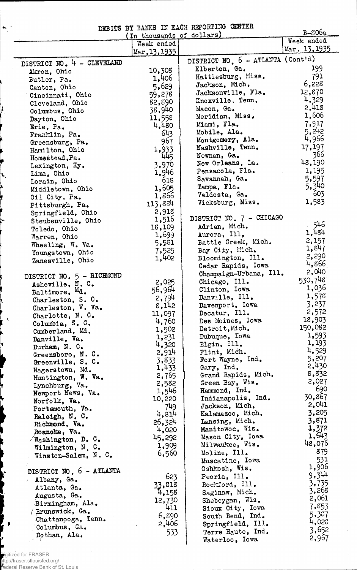DEBITS BY BANKS IN EACH REPORTING CENTER

|                                   | DEDITED DI DENTO IN DECIL TOT<br>(In thousands of dollars) |                                     | $B-806a$      |
|-----------------------------------|------------------------------------------------------------|-------------------------------------|---------------|
|                                   | Week ended                                                 |                                     | Week ended    |
|                                   | Mar.13, 1935                                               |                                     | Mar. 13, 1935 |
|                                   |                                                            | DISTRICT NO. 6 - ATLANTA (Cont'd)   |               |
| DISTRICT NO. 4 - CLEVELAND        | 10,308                                                     | Elberton, Ga.                       | 199           |
| Akron, Ohio                       | 1,406                                                      | Hattiesburg, Miss.                  | 791           |
| Butler, Pa.                       | 5,629                                                      | Jackson, Mich.                      | 6,228         |
| Canton, Ohio                      |                                                            | Jacksonville, Fla.                  | 12,870        |
| Cincinnati, Ohio                  | 59,278                                                     | Knoxville, Tenn.                    | 4,329         |
| Cleveland, Ohio                   | 82,890                                                     | Macon, Ga.<br>$\sim 100$ km $^{-1}$ | 2,418         |
| Columbus, Ohio                    | 38,940                                                     | Meridian, Miss.                     | 1,606         |
| Dayton, Ohio                      | 11,558                                                     | Miami, Fla.                         | 7,917         |
| Erie, Pa.                         | 4,480<br>643                                               | Mobile, Ala.                        | 5,242         |
| Franklin, Pa.                     | 967                                                        | Montgomery, Ala.                    | 4,966         |
| Greensburg, Pa.                   |                                                            | Nashville, Tenn.                    | 17,197        |
| Hamilton, Ohio                    | 1,933                                                      | Newnan, Ga.                         | 366           |
| Homestead, Pa.                    | 445                                                        | New Orleans, La.                    | 48,190        |
| Lexington, Ky.                    | 3,970                                                      | Pensacola, Fla.                     | 1,195         |
| Lima, Ohio                        | 1,946<br>618                                               | Savannah, Ga.                       | 5,597         |
| Lorain, Ohio                      | 1,605                                                      | Tampa, Fla.                         | 5,340         |
| Middletown, Ohio                  | 1,866                                                      | Valdosta, Ga.                       | 603           |
| Oil City, Pa.                     |                                                            | Vicksburg, Miss.                    | 1,583         |
| Pittsburgh, Pa.                   | 113,884                                                    |                                     |               |
| Springfield, Ohio                 | 2,918<br>1,516                                             | DISTRICT NO. 7 - CHICAGO            |               |
| Steubenville, Ohio                | 18,109                                                     | Adrian, Mich.                       | 546           |
| Toledo, Ohio                      | 1,699                                                      | Aurora, Ill.                        | 1,484         |
| Warren, Ohio                      | 5,581                                                      | Battle Creek, Mich.                 | 2,157         |
| Wheeling, W. Va.                  | 7,525                                                      | Bay City, Mich.                     | 1,847         |
| Youngstown, Ohio                  | 1,402                                                      | Bloomington, Ill.                   | 2,290         |
| Zanesville, Ohio                  |                                                            | Cedar Rapids, Iowa                  | 4,866         |
|                                   |                                                            | Champaign-Urbana, Ill.              | 2,040         |
| DISTRICT NO, 5 - RICHMOND         | 2,025                                                      | Chicago, Ill.                       | 530,748       |
| Asheville, N.C.                   | 56,964                                                     | Clinton, Iowa                       | 1,036         |
| Baltimore, Md.                    | 2,794                                                      | Danville, Ill.                      | 1,578         |
| Charleston, S. C.                 | 8,142                                                      | Davenport, Iowa                     | 3,237         |
| Charleston, W. Va.                | 11,097                                                     | Decatur, Ill.                       | 2,572         |
| Charlotte, N.C.                   | 4,760                                                      | Des Moines, Iowa                    | 18,903        |
| Columbia, S. C.                   | 1,502                                                      | Detroit, Mich.                      | 150,082       |
| Cumberland, Md.                   | 1,231                                                      | Dubuque, Iowa                       | 1,593         |
| Danville, Va.                     | 4,320                                                      | Elgin, Ill.                         | 1,193         |
| Durham, N.C.                      | 2,914                                                      | Flint, Mich.                        | 4,529         |
| Greensboro, N. C.                 | 3,833                                                      | Fort Wayne, Ind.                    | 5,207         |
| Greenville, S. C.                 | 1,433                                                      | Gary, Ind.                          | 2,430         |
| Hagerstown, Md.                   | 2,765                                                      | Grand Rapids, Mich.                 | 8,832         |
| Huntington, W. Va.                | 2,582                                                      | Green Bay, Wis.                     | 2,027         |
| Lynchburg, Va.                    | 1,546                                                      | Hammond, Ind.                       | 690           |
| Newport News, Va.                 | 10,220                                                     | Indianapolis, Ind.                  | 30,867        |
| Norfolk, Va.                      | 749                                                        | Jackson, Mich.                      | 2,041         |
| Portsmouth, Va.<br>Raleigh, N. C. | 4,814                                                      | Kalamazoo, Mich.                    | 3,205         |
| Richmond, Va.                     | 26,324                                                     | Lansing, Mich.                      | 3,871         |
| Roanoke, Va.                      | 4,020                                                      | Manitowoc, Wis.                     | 1,372         |
| $\sqrt{N_{\rm a}$ shington, D. C. | 45,292                                                     | Mason City, Iowa                    | 1,643         |
| Wilmington, N. C.                 | 1,909                                                      | Milwaukee, Wis.                     | 48,076        |
| Winston-Salem, $N. C.$            | 6,560                                                      | Moline, Ill.                        | 879           |
|                                   |                                                            | Muscatine, Iowa                     | 531           |
| DISTRICT NO. 6 - ATLANTA          |                                                            | Oshkosh, Wis.                       | 1,906         |
|                                   | 623                                                        | Peoria, Ill.                        | 9,344         |
| Albany, Ga.                       | 33,818                                                     | Rockford, Ill.                      | 3,735         |
| Atlanta, Ga.                      | 4,158                                                      | Saginaw, Mich.                      | 3,268         |
| Augusta, Ga.                      | 12,730                                                     | Sheboygan, Wis.                     | 2,061         |
| Birmingham, Ala.                  | 411                                                        | Sioux City, Iowa                    | 7,853         |
| / Brunswick, Ga.                  | 6,890                                                      | South Bend, Ind.                    | 5,337         |
| Chattanooga, Tenn.                | 2,406                                                      | Springfield, Ill.                   | 4,028         |
| Columbus, Ga.                     | 533                                                        | Terre Haute, Ind.                   | 3,652         |
| Dothan, Ala.                      |                                                            | Waterloo, Iowa                      | 2,967         |

Digitized for FRASER

 $\leftrightarrow$  .

٤.

 $\lambda$ 

È

|<br>| +

٠,

http://fraser.stlouisfed.org/ Federal Reserve Bank of St. Louis